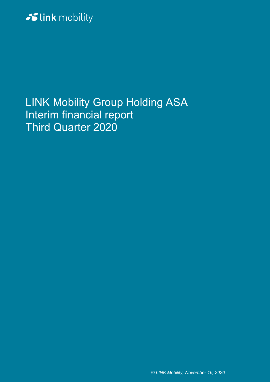# Slink mobility

LINK Mobility Group Holding ASA Interim financial report Third Quarter 2020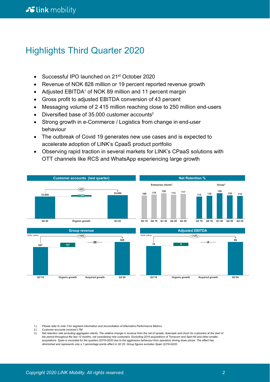### Highlights Third Quarter 2020

- Successful IPO launched on 21<sup>st</sup> October 2020
- Revenue of NOK 828 million or 19 percent reported revenue growth
- Adjusted EBITDA<sup>1</sup> of NOK 89 million and 11 percent margin
- Gross profit to adjusted EBITDA conversion of 43 percent
- Messaging volume of 2 415 million reaching close to 250 million end-users
- Diversified base of  $35.000$  customer accounts<sup>2</sup>
- Strong growth in e-Commerce / Logistics from change in end-user behaviour
- The outbreak of Covid 19 generates new use cases and is expected to accelerate adoption of LINK's CpaaS product portfolio
- Observing rapid traction in several markets for LINK's CPaaS solutions with OTT channels like RCS and WhatsApp experiencing large growth



*1.) Please refer to note 3 for segment information and reconciliation of Alternative Performance Metrics* 

- *2.) Customer accounts invoiced LTM*
- *3.) Net retention rate excluding aggregator clients. The relative change in revenue from the net of upsale, downsale and churn for customers at the start of the period throughout the last 12 months, not considering new customers. Excluding 2019 acquisitions of Terracom and Spot-Hit and other smaller*  acquisitions. Spain is excluded for the quarters Q319-Q220 due to the aggressive behaviour from operators driving down prices. The effect has<br>diminished and represents only a 1 percentage points effect in Q3 20. Group figu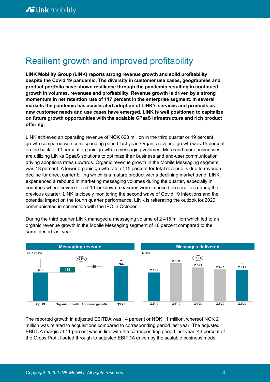## Resilient growth and improved profitability

**LINK Mobility Group (LINK) reports strong revenue growth and solid profitability despite the Covid 19 pandemic. The diversity in customer use cases, geographies and product portfolio have shown resilience through the pandemic resulting in continued growth in volumes, revenues and profitability. Revenue growth is driven by a strong momentum in net retention rate of 117 percent in the enterprise segment. In several markets the pandemic has accelerated adoption of LINK's services and products as new customer needs and use cases have emerged. LINK is well positioned to capitalize on future growth opportunities with the scalable CPaaS infrastructure and rich product offering.**

LINK achieved an operating revenue of NOK 828 million in the third quarter or 19 percent growth compared with corresponding period last year. Organic revenue growth was 15 percent on the back of 10 percent organic growth in messaging volumes. More and more businesses are utilizing LINKs CpaaS solutions to optimize their business and end-user communication driving adoptions rates upwards. Organic revenue growth in the Mobile Messaging segment was 18 percent. A lower organic growth rate of 15 percent for total revenue is due to revenue decline for direct carrier billing which is a mature product with a declining market trend. LINK experienced a rebound in marketing messaging volumes during the quarter, especially in countries where severe Covid 19 lockdown measures were imposed on societies during the previous quarter. LINK is closely monitoring the second wave of Covid 19 infections and the potential impact on the fourth quarter performance. LINK is reiterating the outlook for 2020 communicated in connection with the IPO in October.

During the third quarter LINK managed a messaging volume of 2 415 million which led to an organic revenue growth in the Mobile Messaging segment of 18 percent compared to the same period last year.



The reported growth in adjusted EBITDA was 14 percent or NOK 11 million, whereof NOK 2 million was related to acquisitions compared to corresponding period last year. The adjusted EBITDA margin at 11 percent was in line with the corresponding period last year. 43 percent of the Gross Profit floated through to adjusted EBITDA driven by the scalable business model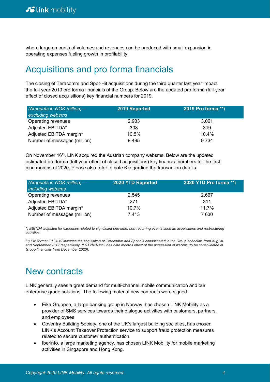where large amounts of volumes and revenues can be produced with small expansion in operating expenses fueling growth in profitability.

## Acquisitions and pro forma financials

The closing of Teracomm and Spot-Hit acquisitions during the third quarter last year impact the full year 2019 pro forma financials of the Group. Below are the updated pro forma (full-year effect of closed acquisitions) key financial numbers for 2019.

| (Amounts in NOK million) $-$<br>excluding websms | 2019 Reported | 2019 Pro forma **) |
|--------------------------------------------------|---------------|--------------------|
| Operating revenues                               | 2.933         | 3.061              |
| Adjusted EBITDA*                                 | 308           | 319                |
| Adjusted EBITDA margin*                          | 10.5%         | 10.4%              |
| Number of messages (million)                     | 9495          | 9 7 3 4            |

On November 16th, LINK acquired the Austrian company websms. Below are the updated estimated pro forma (full-year effect of closed acquisitions) key financial numbers for the first nine months of 2020. Please also refer to note 6 regarding the transaction details.

| (Amounts in NOK million) $-$<br><i>including websms</i> | 2020 YTD Reported | 2020 YTD Pro forma **) |
|---------------------------------------------------------|-------------------|------------------------|
| Operating revenues                                      | 2.545             | 2.667                  |
| Adjusted EBITDA*                                        | 271               | 311                    |
| Adjusted EBITDA margin*                                 | 10.7%             | 11.7%                  |
| Number of messages (million)                            | 7413              | 7 630                  |

*\*) EBITDA adjusted for expenses related to significant one-time, non-recurring events such as acquisitions and restructuring activities.*

*\*\*) Pro forma: FY 2019 includes the acquisition of Teracomm and Spot-Hit consolidated in the Group financials from August and September 2019 respectively. YTD 2020 includes nine months effect of the acquisition of webms (to be consolidated in Group financials from December 2020).* 

## New contracts

LINK generally sees a great demand for multi-channel mobile communication and our enterprise grade solutions. The following material new contracts were signed:

- Eika Gruppen, a large banking group in Norway, has chosen LINK Mobility as a provider of SMS services towards their dialogue activities with customers, partners, and employees
- Coventry Building Society, one of the UK's largest building societies, has chosen LINK's Account Takeover Protection service to support fraud protection measures related to secure customer authentication
- Iberinfo, a large marketing agency, has chosen LINK Mobility for mobile marketing activities in Singapore and Hong Kong.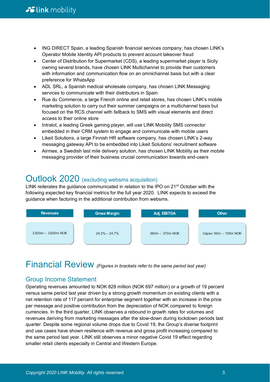- ING DIRECT Spain, a leading Spanish financial services company, has chosen LINK's Operator Mobile Identity API products to prevent account takeover fraud
- Center of Distribution for Supermarket (CDS), a leading supermarket player is Sicily owning several brands, have chosen LINK Multichannel to provide their customers with information and communication flow on an omnichannel basis but with a clear preference for WhatsApp
- ADL SRL, a Spanish medical wholesale company, has chosen LINK Messaging services to communicate with their distributors in Spain
- Rue du Commerce, a large French online and retail stores, has chosen LINK's mobile marketing solution to carry out their summer campaigns on a multichannel basis but focused on the RCS channel with fallback to SMS with visual elements and direct access to their online store
- Intralot, a leading Greek gaming player, will use LINK Mobility SMS connector embedded in their CRM system to engage and communicate with mobile users
- Likeit Solutions, a large Finnish HR software company, has chosen LINK's 2-way messaging gateway API to be embedded into Likeit Solutions' recruitment software
- Airmee, a Swedish last mile delivery solution, has chosen LINK Mobility as their mobile messaging provider of their business crucial communication towards end-users

### Outlook 2020 (excluding websms acquisition)

LINK reiterates the guidance communicated in relation to the IPO on 21st October with the following expected key financial metrics for the full year 2020. LINK expects to exceed the guidance when factoring in the additional contribution from websms.



## Financial Review *(Figures in brackets refer to the same period last year)*

### Group Income Statement

Operating revenues amounted to NOK 828 million (NOK 697 million) or a growth of 19 percent versus same period last year driven by a strong growth momentum on existing clients with a net retention rate of 117 percent for enterprise segment together with an increase in the price per message and positive contribution from the depreciation of NOK compared to foreign currencies. In the third quarter, LINK observes a rebound in growth rates for volumes and revenues deriving from marketing messages after the slow-down during lockdown periods last quarter. Despite some regional volume drops due to Covid 19, the Group's diverse footprint and use cases have shown resilience with revenue and gross profit increasing compared to the same period last year. LINK still observes a minor negative Covid 19 effect regarding smaller retail clients especially in Central and Western Europe.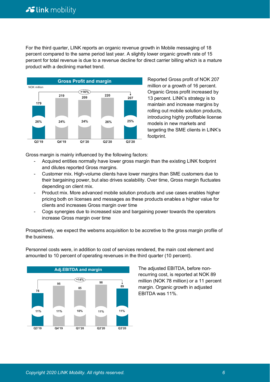For the third quarter, LINK reports an organic revenue growth in Mobile messaging of 18 percent compared to the same period last year. A slightly lower organic growth rate of 15 percent for total revenue is due to a revenue decline for direct carrier billing which is a mature product with a declining market trend.



Reported Gross profit of NOK 207 million or a growth of 16 percent. Organic Gross profit increased by 13 percent. LINK's strategy is to maintain and increase margins by rolling out mobile solution products, introducing highly profitable license models in new markets and targeting the SME clients in LINK's footprint.

Gross margin is mainly influenced by the following factors:

- Acquired entities normally have lower gross margin than the existing LINK footprint and dilutes reported Gross margins.
- Customer mix. High-volume clients have lower margins than SME customers due to their bargaining power, but also drives scalability. Over time, Gross margin fluctuates depending on client mix.
- Product mix. More advanced mobile solution products and use cases enables higher pricing both on licenses and messages as these products enables a higher value for clients and increases Gross margin over time
- Cogs synergies due to increased size and bargaining power towards the operators increase Gross margin over time

Prospectively, we expect the websms acquisition to be accretive to the gross margin profile of the business.



Personnel costs were, in addition to cost of services rendered, the main cost element and amounted to 10 percent of operating revenues in the third quarter (10 percent).

> The adjusted EBITDA, before nonrecurring cost, is reported at NOK 89 million (NOK 78 million) or a 11 percent margin. Organic growth in adjusted EBITDA was 11%.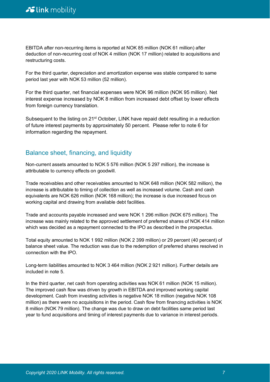EBITDA after non-recurring items is reported at NOK 85 million (NOK 61 million) after deduction of non-recurring cost of NOK 4 million (NOK 17 million) related to acquisitions and restructuring costs.

For the third quarter, depreciation and amortization expense was stable compared to same period last year with NOK 53 million (52 million).

For the third quarter, net financial expenses were NOK 96 million (NOK 95 million). Net interest expense increased by NOK 8 million from increased debt offset by lower effects from foreign currency translation.

Subsequent to the listing on 21<sup>st</sup> October, LINK have repaid debt resulting in a reduction of future interest payments by approximately 50 percent. Please refer to note 6 for information regarding the repayment.

### Balance sheet, financing, and liquidity

Non-current assets amounted to NOK 5 576 million (NOK 5 297 million), the increase is attributable to currency effects on goodwill.

Trade receivables and other receivables amounted to NOK 648 million (NOK 582 million), the increase is attributable to timing of collection as well as increased volume. Cash and cash equivalents are NOK 626 million (NOK 168 million); the increase is due increased focus on working capital and drawing from available debt facilities.

Trade and accounts payable increased and were NOK 1 296 million (NOK 675 million). The increase was mainly related to the approved settlement of preferred shares of NOK 414 million which was decided as a repayment connected to the IPO as described in the prospectus.

Total equity amounted to NOK 1 992 million (NOK 2 399 million) or 29 percent (40 percent) of balance sheet value. The reduction was due to the redemption of preferred shares resolved in connection with the IPO.

Long-term liabilities amounted to NOK 3 464 million (NOK 2 921 million). Further details are included in note 5.

In the third quarter, net cash from operating activities was NOK 61 million (NOK 15 million). The improved cash flow was driven by growth in EBITDA and improved working capital development. Cash from investing activities is negative NOK 18 million (negative NOK 108 million) as there were no acquisitions in the period. Cash flow from financing activities is NOK 8 million (NOK 79 million). The change was due to draw on debt facilities same period last year to fund acquisitions and timing of interest payments due to variance in interest periods.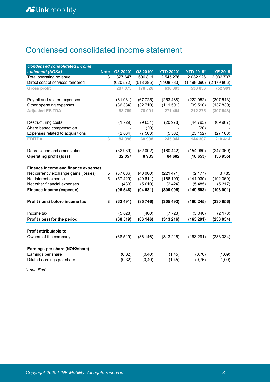## Condensed consolidated income statement

| <b>Condensed consolidated income</b> |             |           |           |                  |                  |                |
|--------------------------------------|-------------|-----------|-----------|------------------|------------------|----------------|
| statement (NOKk)                     | <b>Note</b> | Q3 2020*  | Q3 2019*  | <b>YTD 2020*</b> | <b>YTD 2019*</b> | <b>YE 2019</b> |
| Total operating revenue              | 3           | 827 647   | 696 811   | 2 545 276        | 2 032 926        | 2 932 707      |
| Direct cost of services rendered     |             | (620 572) | (518 285) | (1908883)        | (1499090)        | (2179806)      |
| Gross profit                         |             | 207 075   | 178 526   | 636 393          | 533 836          | 752 901        |
|                                      |             |           |           |                  |                  |                |
| Payroll and related expenses         |             | (81931)   | (67725)   | (253 488)        | (222 052)        | (307513)       |
| Other operating expenses             |             | (36384)   | (32710)   | (111 501)        | (99510)          | (137 839)      |
| <b>Adjusted EBITDA</b>               |             | 88759     | 78 091    | 271 404          | 212 275          | (307548)       |
|                                      |             |           |           |                  |                  |                |
| Restructuring costs                  |             | (1729)    | (9631)    | (20978)          | (44795)          | (69967)        |
| Share based compensation             |             |           | (20)      |                  | (20)             |                |
| Expenses related to acquisitions     |             | (2034)    | (7503)    | (5382)           | (23 152)         | (27168)        |
| <b>EBITDA</b>                        | 3           | 84 996    | 60 938    | 245 044          | 144 307          | 210 414        |
|                                      |             |           |           |                  |                  |                |
| Depreciation and amortization        |             | (52939)   | (52002)   | (160 442)        | (154960)         | (247369)       |
| <b>Operating profit (loss)</b>       |             | 32 057    | 8935      | 84 602           | (10653)          | (36955)        |
|                                      |             |           |           |                  |                  |                |
| Finance income and finance expenses  |             |           |           |                  |                  |                |
| Net currency exchange gains (losses) | 5           | (37686)   | (40060)   | (221 471)        | (2 177)          | 3785           |
| Net interest expense                 | 5           | (57429)   | (49611)   | (166 199)        | (141930)         | (192369)       |
| Net other financial expenses         |             | (433)     | (5010)    | (2424)           | (5485)           | (5317)         |
| Finance income (expense)             |             | (95548)   | (94681)   | (390095)         | (149593)         | (193901)       |
|                                      |             |           |           |                  |                  |                |
| Profit (loss) before income tax      | 3           | (63491)   | (85746)   | (305493)         | (160 245)        | (230 856)      |
|                                      |             |           |           |                  |                  |                |
| Income tax                           |             | (5028)    | (400)     | (7723)           | (3046)           | (2 178)        |
| Profit (loss) for the period         |             | (68519)   | (86146)   | (313 216)        | (163 291)        | (233 034)      |
|                                      |             |           |           |                  |                  |                |
| <b>Profit attributable to:</b>       |             |           |           |                  |                  |                |
| Owners of the company                |             | (68519)   | (86146)   | (313 216)        | (163 291)        | (233034)       |
|                                      |             |           |           |                  |                  |                |
| Earnings per share (NOK/share)       |             |           |           |                  |                  |                |
| Earnings per share                   |             | (0, 32)   | (0, 40)   | (1, 45)          | (0, 76)          | (1,09)         |
| Diluted earnings per share           |             | (0, 32)   | (0, 40)   | (1, 45)          | (0,76)           | (1,09)         |
|                                      |             |           |           |                  |                  |                |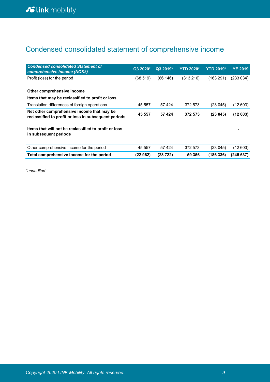## Condensed consolidated statement of comprehensive income

| <b>Condensed consolidated Statement of</b><br>comprehensive income (NOKk)                          | Q3 2020* | Q3 2019* | <b>YTD 2020*</b> | <b>YTD 2019*</b> | <b>YE 2019</b> |
|----------------------------------------------------------------------------------------------------|----------|----------|------------------|------------------|----------------|
| Profit (loss) for the period                                                                       | (68519)  | (86146)  | (313 216)        | (163291)         | (233 034)      |
| Other comprehensive income                                                                         |          |          |                  |                  |                |
| Items that may be reclassified to profit or loss                                                   |          |          |                  |                  |                |
| Translation differences of foreign operations                                                      | 45 557   | 57 4 24  | 372 573          | (23045)          | (12603)        |
| Net other comprehensive income that may be<br>reclassified to profit or loss in subsequent periods | 45 557   | 57 424   | 372 573          | (23045)          | (12603)        |
| Items that will not be reclassified to profit or loss<br>in subsequent periods                     |          |          |                  |                  |                |
| Other comprehensive income for the period                                                          | 45 557   | 57 4 24  | 372 573          | (23045)          | (12 603)       |
| Total comprehensive income for the period                                                          | (22 962) | (28722)  | 59 356           | (186 336)        | (245637)       |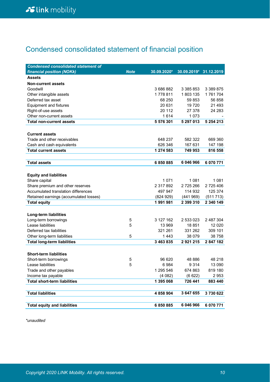## Condensed consolidated statement of financial position

| <b>Condensed consolidated statement of</b> |             |             |                        |           |
|--------------------------------------------|-------------|-------------|------------------------|-----------|
| financial position (NOKk)                  | <b>Note</b> | 30.09.2020* | 30.09.2019* 31.12.2019 |           |
| <b>Assets</b>                              |             |             |                        |           |
| <b>Non-current assets</b>                  |             |             |                        |           |
| Goodwill                                   |             | 3 686 882   | 3 385 853              | 3 389 875 |
| Other intangible assets                    |             | 1778811     | 1803 135               | 1761704   |
| Deferred tax asset                         |             | 68 250      | 59 853                 | 56 858    |
| <b>Equipment and fixtures</b>              |             | 20 631      | 19720                  | 21 493    |
| Right-of-use assets                        |             | 20 112      | 27 378                 | 24 283    |
| Other non-current assets                   |             | 1614        | 1 0 7 3                |           |
| <b>Total non-current assets</b>            |             | 5 576 301   | 5 297 013              | 5 254 213 |
|                                            |             |             |                        |           |
| <b>Current assets</b>                      |             |             |                        |           |
| Trade and other receivables                |             | 648 237     | 582 322                | 669 360   |
| Cash and cash equivalents                  |             | 626 346     | 167 631                | 147 198   |
| <b>Total current assets</b>                |             | 1 274 583   | 749 953                | 816 558   |
|                                            |             |             |                        |           |
| <b>Total assets</b>                        |             | 6850885     | 6 046 966              | 6 070 771 |
|                                            |             |             |                        |           |
| <b>Equity and liabilities</b>              |             |             |                        |           |
| Share capital                              |             | 1 0 7 1     | 1 081                  | 1 0 8 1   |
| Share premium and other reserves           |             | 2 317 892   | 2 725 266              | 2 725 406 |
| Accumulated translation differences        |             | 497 947     | 114 932                | 125 374   |
| Retained earnings (accumulated losses)     |             | (824929)    | (441 969)              | (511713)  |
| <b>Total equity</b>                        |             | 1991981     | 2 399 310              | 2 340 149 |
|                                            |             |             |                        |           |
| Long-term liabilities                      |             |             |                        |           |
| Long-term borrowings                       | 5           | 3 127 162   | 2 533 023              | 2 487 304 |
| Lease liabilities                          | 5           | 13 969      | 18851                  | 12 0 20   |
| Deferred tax liabilities                   |             | 321 261     | 331 262                | 309 101   |
| Other long-term liabilities                | 5           | 1443        | 38 079                 | 38 758    |
| <b>Total long-term liabilities</b>         |             | 3 463 835   | 2921215                | 2 847 182 |
|                                            |             |             |                        |           |
| <b>Short-term liabilities</b>              |             |             |                        |           |
| Short-term borrowings                      | 5           | 96 620      | 48 886                 | 48 218    |
| Lease liabilities                          | 5           | 6984        | 9 3 1 4                | 13 090    |
| Trade and other payables                   |             | 1 295 546   | 674 863                | 819 180   |
| Income tax payable                         |             | (4082)      | (6622)                 | 2953      |
| <b>Total short-term liabilities</b>        |             | 1 395 068   | 726 441                | 883 440   |
|                                            |             |             |                        |           |
| <b>Total liabilities</b>                   |             | 4 858 904   | 3 647 655              | 3730622   |
|                                            |             |             |                        |           |
| <b>Total equity and liabilities</b>        |             | 6 850 885   | 6 046 966              | 6 070 771 |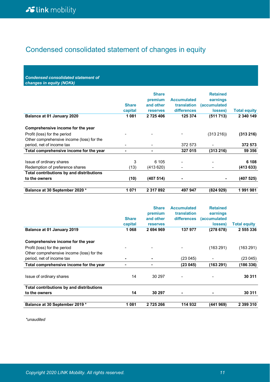### Condensed consolidated statement of changes in equity

*Condensed consolidated statement of changes in equity (NOKk)*

|                                           | <b>Share</b><br>capital  | <b>Share</b><br>premium<br>and other<br><b>reserves</b> | <b>Accumulated</b><br>translation<br><b>differences</b> | <b>Retained</b><br>earnings<br><i>(accumulated)</i><br>losses) | <b>Total equity</b> |
|-------------------------------------------|--------------------------|---------------------------------------------------------|---------------------------------------------------------|----------------------------------------------------------------|---------------------|
| Balance at 01 January 2020                | 1081                     | 2 725 406                                               | 125 374                                                 | (511713)                                                       | 2 340 149           |
| Comprehensive income for the year         |                          |                                                         |                                                         |                                                                |                     |
| Profit (loss) for the period              |                          |                                                         |                                                         | (313 216)                                                      | (313 216)           |
| Other comprehensive income (loss) for the |                          |                                                         |                                                         |                                                                |                     |
| period, net of income tax                 | $\overline{\phantom{0}}$ |                                                         | 372 573                                                 |                                                                | 372 573             |
| Total comprehensive income for the year   | ٠                        | ۰                                                       | 327 015                                                 | (313 216)                                                      | 59 356              |
| Issue of ordinary shares                  | 3                        | 6 105                                                   |                                                         |                                                                | 6 108               |
| Redemption of preference shares           | (13)                     | (413 620)                                               | $\blacksquare$                                          |                                                                | (413633)            |
| Total contributions by and distributions  |                          |                                                         |                                                         |                                                                |                     |
| to the owners                             | (10)                     | (407 514)                                               | ٠                                                       |                                                                | (407 525)           |
| Balance at 30 September 2020 *            | 1071                     | 2 317 892                                               | 497 947                                                 | (824929)                                                       | 1 991 981           |

|                                           |              | <b>Share</b>    | <b>Accumulated</b> | <b>Retained</b> |                     |
|-------------------------------------------|--------------|-----------------|--------------------|-----------------|---------------------|
|                                           |              | premium         | translation        | earnings        |                     |
|                                           | <b>Share</b> | and other       | <b>differences</b> | (accumulated    |                     |
|                                           | capital      | <b>reserves</b> |                    | losses)         | <b>Total equity</b> |
| Balance at 01 January 2019                | 1068         | 2 694 969       | 137 977            | (278 678)       | 2 555 336           |
| Comprehensive income for the year         |              |                 |                    |                 |                     |
| Profit (loss) for the period              |              |                 |                    | (163 291)       | (163 291)           |
| Other comprehensive income (loss) for the |              |                 |                    |                 |                     |
| period, net of income tax                 | ۰            |                 | (23 045)           |                 | (23 045)            |
| Total comprehensive income for the year   | -            |                 | (23045)            | (163 291)       | (186 336)           |
| Issue of ordinary shares                  | 14           | 30 297          | $\blacksquare$     |                 | 30 311              |
| Total contributions by and distributions  |              |                 |                    |                 |                     |
| to the owners                             | 14           | 30 297          | ۰                  | -               | 30 311              |
| Balance at 30 September 2019 *            | 1081         | 2 725 266       | 114 932            | (441 969)       | 2 399 310           |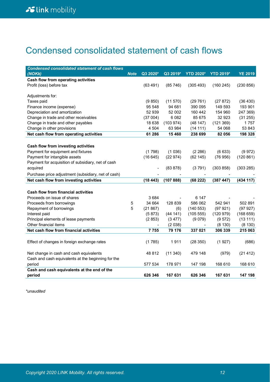## Condensed consolidated statement of cash flows

| <b>Condensed consolidated statement of cash flows</b> |             |          |          |                  |                  |                |
|-------------------------------------------------------|-------------|----------|----------|------------------|------------------|----------------|
| (NOKK)                                                | <b>Note</b> | Q3 2020* | Q3 2019* | <b>YTD 2020*</b> | <b>YTD 2019*</b> | <b>YE 2019</b> |
| Cash flow from operating activities                   |             |          |          |                  |                  |                |
| Profit (loss) before tax                              |             | (63491)  | (85746)  | (305 493)        | (160245)         | (230 856)      |
|                                                       |             |          |          |                  |                  |                |
| Adjustments for:                                      |             |          |          |                  |                  |                |
| Taxes paid                                            |             | (9 850)  | (11 570) | (29761)          | (27872)          | (36 430)       |
| Finance income (expense)                              |             | 95 548   | 94 681   | 390 095          | 149 593          | 193 901        |
| Depreciation and amortization                         |             | 52 939   | 52 002   | 160 442          | 154 960          | 247 369)       |
| Change in trade and other receivables                 |             | (37004)  | 6 0 8 2  | 85 675           | 32 923           | (31 255)       |
| Change in trade and other payables                    |             | 18 638   | (103974) | (48147)          | (121369)         | 1757           |
| Change in other provisions                            |             | 4 5 0 4  | 63 984   | (14 111)         | 54 068           | 53 843         |
| Net cash flow from operating activities               |             | 61 286   | 15 460   | 238 699          | 82 056           | 198 328        |
|                                                       |             |          |          |                  |                  |                |
| Cash flow from investing activities                   |             |          |          |                  |                  |                |
| Payment for equipment and fixtures                    |             | (1798)   | (1036)   | (2 286)          | (6633)           | (9972)         |
| Payment for intangible assets                         |             | (16645)  | (22974)  | (62 145)         | (76956)          | (120 861)      |
| Payment for acquisition of subsidiary, net of cash    |             |          |          |                  |                  |                |
| acquired                                              |             |          | (83 878) | (3791)           | (303 858)        | (303 285)      |
| Purchase price adjustment (subsidiary, net of cash)   |             |          |          |                  |                  |                |
| Net cash flow from investing activities               |             | (18443)  | (107888) | (68 222)         | (387 447)        | (434 117)      |
|                                                       |             |          |          |                  |                  |                |
| <b>Cash flow from financial activities</b>            |             |          |          |                  |                  |                |
| Proceeds on issue of shares                           |             | 3684     |          | 6 147            |                  |                |
| Proceeds from borrowings                              | 5           | 34 664   | 128 839  | 586 062          | 542 941          | 502 891        |
| Repayment of borrowings                               | 5           | (21867)  | (6)      | (140553)         | (97921)          | (97927)        |
| Interest paid                                         |             | (5873)   | (4411)   | (105 555)        | (120979)         | (168659)       |
| Principal elements of lease payments                  |             | (2853)   | (3 477)  | (9 079)          | (9572)           | (13111)        |
| Other financial items                                 |             |          | (2 038)  |                  | (8 130)          | (8130)         |
| Net cash flow from financial activities               |             | 7755     | 79 176   | 337 021          | 306 339          | 215 063        |
|                                                       |             |          |          |                  |                  |                |
| Effect of changes in foreign exchange rates           |             | (1785)   | 1911     | (28 350)         | (1927)           | (686)          |
|                                                       |             |          |          |                  |                  |                |
| Net change in cash and cash equivalents               |             | 48 812   | (11340)  | 479 148          | (979)            | (21 412)       |
| Cash and cash equivalents at the beginning for the    |             |          |          |                  |                  |                |
| period                                                |             | 577 534  | 178 971  | 147 198          | 168 610          | 168 610        |
| Cash and cash equivalents at the end of the           |             |          |          |                  |                  |                |
| period                                                |             | 626 346  | 167 631  | 626 346          | 167 631          | 147 198        |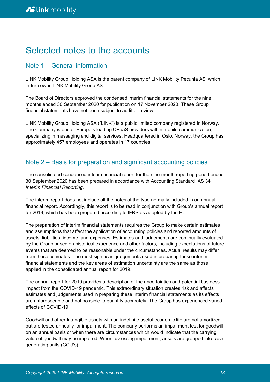### Selected notes to the accounts

### Note 1 – General information

LINK Mobility Group Holding ASA is the parent company of LINK Mobility Pecunia AS, which in turn owns LINK Mobility Group AS.

The Board of Directors approved the condensed interim financial statements for the nine months ended 30 September 2020 for publication on 17 November 2020. These Group financial statements have not been subject to audit or review.

LINK Mobility Group Holding ASA ("LINK") is a public limited company registered in Norway. The Company is one of Europe's leading CPaaS providers within mobile communication, specializing in messaging and digital services. Headquartered in Oslo, Norway, the Group has approximately 457 employees and operates in 17 countries.

### Note 2 – Basis for preparation and significant accounting policies

The consolidated condensed interim financial report for the nine-month reporting period ended 30 September 2020 has been prepared in accordance with Accounting Standard IAS 34 *Interim Financial Reporting*.

The interim report does not include all the notes of the type normally included in an annual financial report. Accordingly, this report is to be read in conjunction with Group's annual report for 2019, which has been prepared according to IFRS as adopted by the EU.

The preparation of interim financial statements requires the Group to make certain estimates and assumptions that affect the application of accounting policies and reported amounts of assets, liabilities, income, and expenses. Estimates and judgements are continually evaluated by the Group based on historical experience and other factors, including expectations of future events that are deemed to be reasonable under the circumstances. Actual results may differ from these estimates. The most significant judgements used in preparing these interim financial statements and the key areas of estimation uncertainty are the same as those applied in the consolidated annual report for 2019.

The annual report for 2019 provides a description of the uncertainties and potential business impact from the COVID-19 pandemic. This extraordinary situation creates risk and affects estimates and judgements used in preparing these interim financial statements as its effects are unforeseeable and not possible to quantify accurately. The Group has experienced varied effects of COVID-19.

Goodwill and other Intangible assets with an indefinite useful economic life are not amortized but are tested annually for impairment. The company performs an impairment test for goodwill on an annual basis or when there are circumstances which would indicate that the carrying value of goodwill may be impaired. When assessing impairment, assets are grouped into cash generating units (CGU's).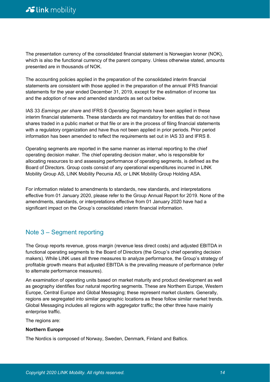The presentation currency of the consolidated financial statement is Norwegian kroner (NOK), which is also the functional currency of the parent company. Unless otherwise stated, amounts presented are in thousands of NOK.

The accounting policies applied in the preparation of the consolidated interim financial statements are consistent with those applied in the preparation of the annual IFRS financial statements for the year ended December 31, 2019, except for the estimation of income tax and the adoption of new and amended standards as set out below.

IAS 33 *Earnings per share* and IFRS 8 *Operating Segments* have been applied in these interim financial statements. These standards are not mandatory for entities that do not have shares traded in a public market or that file or are in the process of filing financial statements with a regulatory organization and have thus not been applied in prior periods. Prior period information has been amended to reflect the requirements set out in IAS 33 and IFRS 8.

Operating segments are reported in the same manner as internal reporting to the chief operating decision maker. The chief operating decision maker, who is responsible for allocating resources to and assessing performance of operating segments, is defined as the Board of Directors. Group costs consist of any operational expenditures incurred in LINK Mobility Group AS, LINK Mobility Pecunia AS, or LINK Mobility Group Holding ASA.

For information related to amendments to standards, new standards, and interpretations effective from 01 January 2020, please refer to the Group Annual Report for 2019. None of the amendments, standards, or interpretations effective from 01 January 2020 have had a significant impact on the Group's consolidated interim financial information.

### Note 3 – Segment reporting

The Group reports revenue, gross margin (revenue less direct costs) and adjusted EBITDA in functional operating segments to the Board of Directors (the Group's chief operating decision makers). While LINK uses all three measures to analyze performance, the Group's strategy of profitable growth means that adjusted EBITDA is the prevailing measure of performance (refer to alternate performance measures).

An examination of operating units based on market maturity and product development as well as geography identifies four natural reporting segments. These are Northern Europe, Western Europe, Central Europe and Global Messaging; these represent market clusters. Generally, regions are segregated into similar geographic locations as these follow similar market trends. Global Messaging includes all regions with aggregator traffic; the other three have mainly enterprise traffic.

The regions are:

#### **Northern Europe**

The Nordics is composed of Norway, Sweden, Denmark, Finland and Baltics.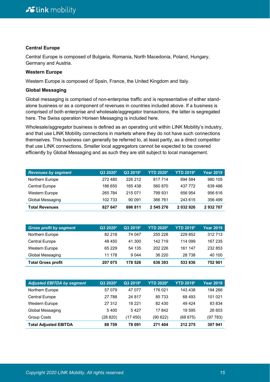#### **Central Europe**

Central Europe is composed of Bulgaria, Romania, North Macedonia, Poland, Hungary, Germany and Austria.

#### **Western Europe**

Western Europe is composed of Spain, France, the United Kingdom and Italy.

#### **Global Messaging**

Global messaging is comprised of non-enterprise traffic and is representative of either standalone business or as a component of revenues in countries included above. If a business is comprised of both enterprise and wholesale/aggregator transactions, the latter is segregated here. The Swiss operation Horisen Messaging is included here.

Wholesale/aggregator business is defined as an operating unit within LINK Mobility's industry, and that use LINK Mobility connections in markets where they do not have such connections themselves. This business can generally be referred to, at least partly, as a direct competitor that use LINK connections. Smaller local aggregators cannot be expected to be covered efficiently by Global Messaging and as such they are still subject to local management.

| <b>Revenues by segment</b> | Q3 2020* | Q3 2019* | <b>YTD 2020*</b> | <b>YTD 2019*</b> | <b>Year 2019</b> |
|----------------------------|----------|----------|------------------|------------------|------------------|
| Northern Europe            | 272 480  | 226 212  | 817 714          | 694 584          | 980 105          |
| <b>Central Europe</b>      | 186 650  | 165438   | 560 870          | 437 772          | 639 486          |
| <b>Western Europe</b>      | 265 784  | 215 071  | 799 931          | 656 954          | 956 616          |
| Global Messaging           | 102 733  | 90 091   | 366 761          | 243 615          | 356 499          |
| <b>Total Revenues</b>      | 827 647  | 696 811  | 2 545 276        | 2 032 926        | 2932707          |

| <b>Gross profit by segment</b> | Q3 2020* | Q3 2019* | <b>YTD 2020*</b> | <b>YTD 2019*</b> | <b>Year 2019</b> |
|--------------------------------|----------|----------|------------------|------------------|------------------|
| Northern Europe                | 82 218   | 74 047   | 255 228          | 229 852          | 312 713          |
| <b>Central Europe</b>          | 48 450   | 41 300   | 142 719          | 114 099          | 167 235          |
| <b>Western Europe</b>          | 65 229   | 54 135   | 202 226          | 161 147          | 232 853          |
| Global Messaging               | 11 178   | 9 0 4 4  | 36 220           | 28 738           | 40 100           |
| <b>Total Gross profit</b>      | 207 075  | 178 526  | 636 393          | 533836           | 752 901          |

| <b>Adjusted EBITDA by segment</b> | Q3 2020* | Q3 2019* | <b>YTD 2020*</b> | <b>YTD 2019*</b> | <b>Year 2019</b> |
|-----------------------------------|----------|----------|------------------|------------------|------------------|
| Northern Europe                   | 57 079   | 47 077   | 176 021          | 143 438          | 194 266          |
| <b>Central Europe</b>             | 27 788   | 24 817   | 85 733           | 68 493           | 101 021          |
| <b>Western Europe</b>             | 27 312   | 18 221   | 82 430           | 49 4 24          | 83 834           |
| Global Messaging                  | 5400     | 5427     | 17842            | 19 595           | 26 603           |
| <b>Group Costs</b>                | (28 820) | (17 450) | (90622)          | (68675)          | (97 783)         |
| <b>Total Adjusted EBITDA</b>      | 88759    | 78 091   | 271 404          | 212 275          | 307 941          |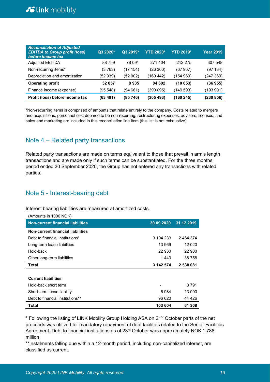| <b>Reconciliation of Adjusted</b><br><b>EBITDA to Group profit (loss)</b><br>before income tax | Q3 2020* | Q3 2019* | <b>YTD 2020*</b> | <b>YTD 2019*</b> | <b>Year 2019</b> |
|------------------------------------------------------------------------------------------------|----------|----------|------------------|------------------|------------------|
| <b>Adjusted EBITDA</b>                                                                         | 88759    | 78 091   | 271404           | 212 275          | 307 548          |
| Non-recurring items*                                                                           | (3763)   | (17 154) | (26360)          | (67 967)         | (97134)          |
| Depreciation and amortization                                                                  | (52 939) | (52 002) | (160 442)        | (154960)         | (247369)         |
| <b>Operating profit</b>                                                                        | 32 057   | 8935     | 84 602           | (10653)          | (36955)          |
| Finance income (expense)                                                                       | (95 548) | (94681)  | (390 095)        | (149 593)        | (193 901)        |
| Profit (loss) before income tax                                                                | (63 491) | (85 746) | (305 493)        | (160 245)        | (230 856)        |

\*Non-recurring items is comprised of amounts that relate entirely to the company. Costs related to mergers and acquisitions, personnel cost deemed to be non-recurring, restructuring expenses, advisors, licenses, and sales and marketing are included in this reconciliation line item (this list is not exhaustive).

### Note 4 – Related party transactions

Related party transactions are made on terms equivalent to those that prevail in arm's length transactions and are made only if such terms can be substantiated. For the three months period ended 30 September 2020, the Group has not entered any transactions with related parties.

### Note 5 - Interest-bearing debt

Interest bearing liabilities are measured at amortized costs.

| (Amounts in 1000 NOK)                    |            |            |
|------------------------------------------|------------|------------|
| <b>Non-current financial liabilities</b> | 30.09.2020 | 31.12.2019 |
| Non-current financial liabilities        |            |            |
| Debt to financial institutions*          | 3 104 233  | 2 464 374  |
| Long-term lease liabilities              | 13 969     | 12 0 20    |
| Hold-back                                | 22 930     | 22 930     |
| Other long-term liabilities              | 1 443      | 38 758     |
|                                          |            |            |
| <b>Total</b>                             | 3 142 574  | 2 538 081  |
|                                          |            |            |
| <b>Current liabilities</b>               |            |            |
| Hold-back short term                     |            | 3 7 9 1    |
| Short-term lease liability               | 6984       | 13 090     |
| Debt to financial institutions**         | 96 620     | 44 426     |

\* Following the listing of LINK Mobility Group Holding ASA on 21st October parts of the net proceeds was utilized for mandatory repayment of debt facilities related to the Senior Facilities Agreement. Debt to financial institutions as of 23rd October was approximately NOK 1.788 million.

\*\*Instalments falling due within a 12-month period, including non-capitalized interest, are classified as current.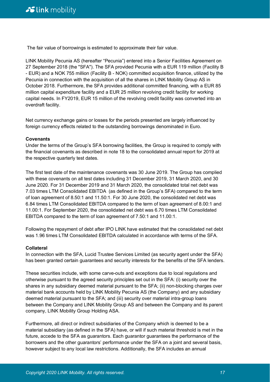The fair value of borrowings is estimated to approximate their fair value.

LINK Mobility Pecunia AS (hereafter "Pecunia") entered into a Senior Facilities Agreement on 27 September 2018 (the "SFA"). The SFA provided Pecunia with a EUR 119 million (Facility B - EUR) and a NOK 755 million (Facility B - NOK) committed acquisition finance, utilized by the Pecunia in connection with the acquisition of all the shares in LINK Mobility Group AS in October 2018. Furthermore, the SFA provides additional committed financing, with a EUR 85 million capital expenditure facility and a EUR 25 million revolving credit facility for working capital needs. In FY2019, EUR 15 million of the revolving credit facility was converted into an overdraft facility.

Net currency exchange gains or losses for the periods presented are largely influenced by foreign currency effects related to the outstanding borrowings denominated in Euro.

#### **Covenants**

Under the terms of the Group's SFA borrowing facilities, the Group is required to comply with the financial covenants as described in note 18 to the consolidated annual report for 2019 at the respective quarterly test dates.

The first test date of the maintenance covenants was 30 June 2019. The Group has complied with these covenants on all test dates including 31 December 2019, 31 March 2020, and 30 June 2020. For 31 December 2019 and 31 March 2020, the consolidated total net debt was 7.03 times LTM Consolidated EBITDA (as defined in the Group's SFA) compared to the term of loan agreement of 8.50:1 and 11.50:1. For 30 June 2020, the consolidated net debt was 6.84 times LTM Consolidated EBITDA compared to the term of loan agreement of 8.00:1 and 11.00:1. For September 2020, the consolidated net debt was 6.70 times LTM Consolidated EBITDA compared to the term of loan agreement of 7.50:1 and 11.00:1.

Following the repayment of debt after IPO LINK have estimated that the consolidated net debt was 1.96 times LTM Consolidated EBITDA calculated in accordance with terms of the SFA.

#### **Collateral**

In connection with the SFA, Lucid Trustee Services Limited (as security agent under the SFA) has been granted certain guarantees and security interests for the benefits of the SFA lenders.

These securities include, with some carve-outs and exceptions due to local regulations and otherwise pursuant to the agreed security principles set out in the SFA: (i) security over the shares in any subsidiary deemed material pursuant to the SFA; (ii) non-blocking charges over material bank accounts held by LINK Mobility Pecunia AS (the Company) and any subsidiary deemed material pursuant to the SFA; and (iii) security over material intra-group loans between the Company and LINK Mobility Group AS and between the Company and its parent company, LINK Mobility Group Holding ASA.

Furthermore, all direct or indirect subsidiaries of the Company which is deemed to be a material subsidiary (as defined in the SFA) have, or will if such material threshold is met in the future, accede to the SFA as guarantors. Each guarantor guarantees the performance of the borrowers and the other guarantors' performance under the SFA on a joint and several basis, however subject to any local law restrictions. Additionally, the SFA includes an annual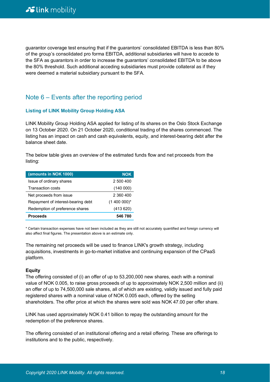guarantor coverage test ensuring that if the guarantors' consolidated EBITDA is less than 80% of the group's consolidated pro forma EBITDA, additional subsidiaries will have to accede to the SFA as guarantors in order to increase the guarantors' consolidated EBITDA to be above the 80% threshold. Such additional acceding subsidiaries must provide collateral as if they were deemed a material subsidiary pursuant to the SFA.

### Note 6 – Events after the reporting period

#### **Listing of LINK Mobility Group Holding ASA**

LINK Mobility Group Holding ASA applied for listing of its shares on the Oslo Stock Exchange on 13 October 2020. On 21 October 2020, conditional trading of the shares commenced. The listing has an impact on cash and cash equivalents, equity, and interest-bearing debt after the balance sheet date.

The below table gives an overview of the estimated funds flow and net proceeds from the listing:

| (amounts in NOK 1000)              | <b>NOK</b>    |
|------------------------------------|---------------|
| Issue of ordinary shares           | 2 500 400     |
| <b>Transaction costs</b>           | (140000)      |
| Net proceeds from issue            | 2 360 400     |
| Repayment of interest-bearing debt | $(1400000)^*$ |
| Redemption of preference shares    | (413620)      |
| <b>Proceeds</b>                    | 546780        |

\* Certain transaction expenses have not been included as they are still not accurately quantified and foreign currency will also affect final figures. The presentation above is an estimate only.

The remaining net proceeds will be used to finance LINK's growth strategy, including acquisitions, investments in go-to-market initiative and continuing expansion of the CPaaS platform.

#### **Equity**

The offering consisted of (i) an offer of up to 53,200,000 new shares, each with a nominal value of NOK 0.005, to raise gross proceeds of up to approximately NOK 2,500 million and (ii) an offer of up to 74,500,000 sale shares, all of which are existing, validly issued and fully paid registered shares with a nominal value of NOK 0.005 each, offered by the selling shareholders. The offer price at which the shares were sold was NOK 47.00 per offer share.

LINK has used approximately NOK 0.41 billion to repay the outstanding amount for the redemption of the preference shares.

The offering consisted of an institutional offering and a retail offering. These are offerings to institutions and to the public, respectively.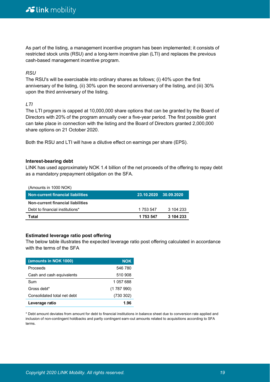As part of the listing, a management incentive program has been implemented; it consists of restricted stock units (RSU) and a long-term incentive plan (LTI) and replaces the previous cash-based management incentive program.

#### *RSU*

The RSU's will be exercisable into ordinary shares as follows; (i) 40% upon the first anniversary of the listing, (ii) 30% upon the second anniversary of the listing, and (iii) 30% upon the third anniversary of the listing.

#### *LTI*

The LTI program is capped at 10,000,000 share options that can be granted by the Board of Directors with 20% of the program annually over a five-year period. The first possible grant can take place in connection with the listing and the Board of Directors granted 2,000,000 share options on 21 October 2020.

Both the RSU and LTI will have a dilutive effect on earnings per share (EPS).

#### **Interest-bearing debt**

LINK has used approximately NOK 1.4 billion of the net proceeds of the offering to repay debt as a mandatory prepayment obligation on the SFA.

| (Amounts in 1000 NOK)<br><b>Non-current financial liabilities</b> |           | 23.10.2020 30.09.2020 |
|-------------------------------------------------------------------|-----------|-----------------------|
| Non-current financial liabilities                                 |           |                       |
| Debt to financial institutions*                                   | 1 753 547 | 3 104 233             |
| Total                                                             | 1 753 547 | 3 104 233             |

#### **Estimated leverage ratio post offering**

The below table illustrates the expected leverage ratio post offering calculated in accordance with the terms of the SFA

| (amounts in NOK 1000)       | <b>NOK</b> |
|-----------------------------|------------|
| Proceeds                    | 546 780    |
| Cash and cash equivalents   | 510 908    |
| Sum                         | 1 057 688  |
| Gross debt*                 | (1787990)  |
| Consolidated total net debt | (730 302)  |
| Leverage ratio              | 1.96       |

\* Debt amount deviates from amount for debt to financial institutions in balance sheet due to conversion rate applied and inclusion of non-contingent holdbacks and partly contingent earn-out amounts related to acquisitions according to SFA terms.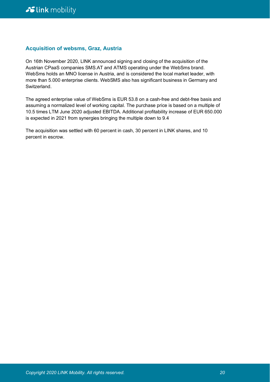#### **Acquisition of websms, Graz, Austria**

On 16th November 2020, LINK announced signing and closing of the acquisition of the Austrian CPaaS companies SMS.AT and ATMS operating under the WebSms brand. WebSms holds an MNO license in Austria, and is considered the local market leader, with more than 5.000 enterprise clients. WebSMS also has significant business in Germany and Switzerland.

The agreed enterprise value of WebSms is EUR 53.8 on a cash-free and debt-free basis and assuming a normalized level of working capital. The purchase price is based on a multiple of 10.5 times LTM June 2020 adjusted EBITDA. Additional profitability increase of EUR 650.000 is expected in 2021 from synergies bringing the multiple down to 9.4

The acquisition was settled with 60 percent in cash, 30 percent in LINK shares, and 10 percent in escrow.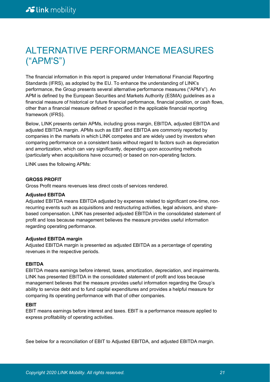## ALTERNATIVE PERFORMANCE MEASURES ("APM'S")

The financial information in this report is prepared under International Financial Reporting Standards (IFRS), as adopted by the EU. To enhance the understanding of LINK's performance, the Group presents several alternative performance measures ("APM's"). An APM is defined by the European Securities and Markets Authority (ESMA) guidelines as a financial measure of historical or future financial performance, financial position, or cash flows, other than a financial measure defined or specified in the applicable financial reporting framework (IFRS).

Below, LINK presents certain APMs, including gross margin, EBITDA, adjusted EBITDA and adjusted EBITDA margin. APMs such as EBIT and EBITDA are commonly reported by companies in the markets in which LINK competes and are widely used by investors when comparing performance on a consistent basis without regard to factors such as depreciation and amortization, which can vary significantly, depending upon accounting methods (particularly when acquisitions have occurred) or based on non-operating factors.

LINK uses the following APMs:

#### **GROSS PROFIT**

Gross Profit means revenues less direct costs of services rendered.

#### **Adjusted EBITDA**

Adjusted EBITDA means EBITDA adjusted by expenses related to significant one-time, nonrecurring events such as acquisitions and restructuring activities, legal advisors, and sharebased compensation. LINK has presented adjusted EBITDA in the consolidated statement of profit and loss because management believes the measure provides useful information regarding operating performance.

#### **Adjusted EBITDA margin**

Adjusted EBITDA margin is presented as adjusted EBITDA as a percentage of operating revenues in the respective periods.

#### **EBITDA**

EBITDA means earnings before interest, taxes, amortization, depreciation, and impairments. LINK has presented EBITDA in the consolidated statement of profit and loss because management believes that the measure provides useful information regarding the Group's ability to service debt and to fund capital expenditures and provides a helpful measure for comparing its operating performance with that of other companies.

#### **EBIT**

EBIT means earnings before interest and taxes. EBIT is a performance measure applied to express profitability of operating activities.

See below for a reconciliation of EBIT to Adjusted EBITDA, and adjusted EBITDA margin.